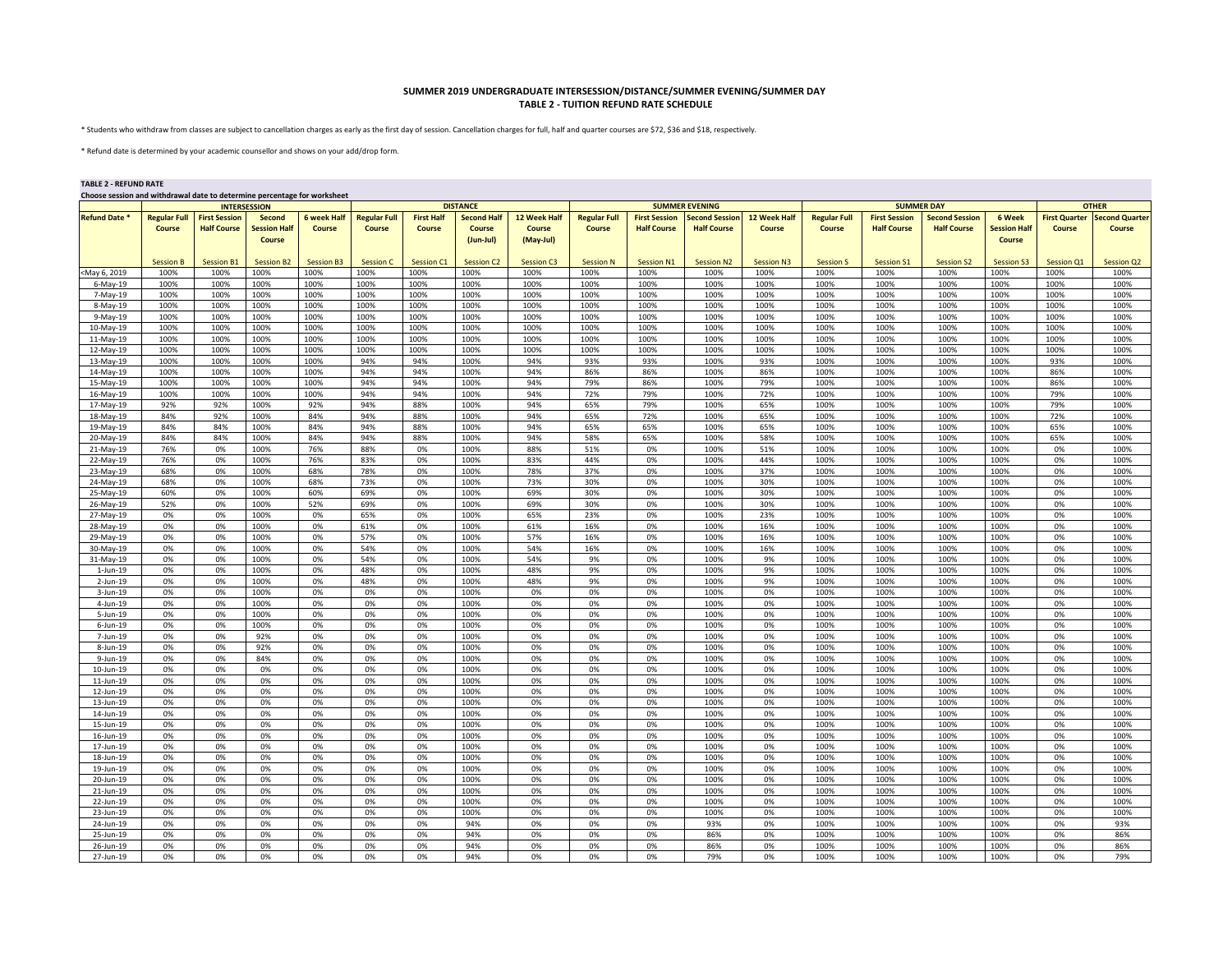## **SUMMER 2019 UNDERGRADUATE INTERSESSION/DISTANCE/SUMMER EVENING/SUMMER DAY TABLE 2 - TUITION REFUND RATE SCHEDULE**

\* Students who withdraw from classes are subject to cancellation charges as early as the first day of session. Cancellation charges for full, half and quarter courses are \$72, \$36 and \$18, respectively.

\* Refund date is determined by your academic counsellor and shows on your add/drop form.

## **TABLE 2 - REFUND RATE**

| Choose session and withdrawal date to determine percentage for worksheet |  |
|--------------------------------------------------------------------------|--|
|                                                                          |  |

|                      | <b>INTERSESSION</b> |                      |                     |                    |                     |                   | <b>DISTANCE</b>        |                   |                     |                      | <b>SUMMER EVENING</b> |                     |                     | <b>SUMMER DAY</b>    | <b>OTHER</b>          |                     |                      |                       |
|----------------------|---------------------|----------------------|---------------------|--------------------|---------------------|-------------------|------------------------|-------------------|---------------------|----------------------|-----------------------|---------------------|---------------------|----------------------|-----------------------|---------------------|----------------------|-----------------------|
| <b>Refund Date *</b> | <b>Regular Full</b> | <b>First Session</b> | Second              | <b>6 week Half</b> | <b>Regular Full</b> | <b>First Half</b> | <b>Second Half</b>     | 12 Week Half      | <b>Regular Full</b> | <b>First Session</b> | <b>Second Session</b> | <b>12 Week Half</b> | <b>Regular Full</b> | <b>First Session</b> | <b>Second Session</b> | 6 Week              | <b>First Quarter</b> | <b>Second Quarter</b> |
|                      | Course              | <b>Half Course</b>   | <b>Session Half</b> | Course             | Course              | Course            | Course                 | <b>Course</b>     | Course              | <b>Half Course</b>   | <b>Half Course</b>    | Course              | Course              | <b>Half Course</b>   | <b>Half Course</b>    | <b>Session Half</b> | Course               | Course                |
|                      |                     |                      | <b>Course</b>       |                    |                     |                   | $(Jun-Jul)$            | (May-Jul)         |                     |                      |                       |                     |                     |                      |                       | Course              |                      |                       |
|                      |                     |                      |                     |                    |                     |                   |                        |                   |                     |                      |                       |                     |                     |                      |                       |                     |                      |                       |
|                      | <b>Session B</b>    | Session B1           | <b>Session B2</b>   | Session B3         | <b>Session C</b>    | <b>Session C1</b> | Session C <sub>2</sub> | <b>Session C3</b> | <b>Session N</b>    | Session N1           | <b>Session N2</b>     | Session N3          | <b>Session S</b>    | Session S1           | <b>Session S2</b>     | <b>Session S3</b>   | Session Q1           | Session Q2            |
| May 6, 2019          | 100%                | 100%                 | 100%                | 100%               | 100%                | 100%              | 100%                   | 100%              | 100%                | 100%                 | 100%                  | 100%                | 100%                | 100%                 | 100%                  | 100%                | 100%                 | 100%                  |
| 6-May-19             | 100%                | 100%                 | 100%                | 100%               | 100%                | 100%              | 100%                   | 100%              | 100%                | 100%                 | 100%                  | 100%                | 100%                | 100%                 | 100%                  | 100%                | 100%                 | 100%                  |
| 7-May-19             | 100%                | 100%                 | 100%                | 100%               | 100%                | 100%              | 100%                   | 100%              | 100%                | 100%                 | 100%                  | 100%                | 100%                | 100%                 | 100%                  | 100%                | 100%                 | 100%                  |
| 8-May-19             | 100%                | 100%                 | 100%                | 100%               | 100%                | 100%              | 100%                   | 100%              | 100%                | 100%                 | 100%                  | 100%                | 100%                | 100%                 | 100%                  | 100%                | 100%                 | 100%                  |
| 9-May-19             | 100%                | 100%                 | 100%                | 100%               | 100%                | 100%              | 100%                   | 100%              | 100%                | 100%                 | 100%                  | 100%                | 100%                | 100%                 | 100%                  | 100%                | 100%                 | 100%                  |
| 10-May-19            | 100%                | 100%                 | 100%                | 100%               | 100%                | 100%              | 100%                   | 100%              | 100%                | 100%                 | 100%                  | 100%                | 100%                | 100%                 | 100%                  | 100%                | 100%                 | 100%                  |
| 11-May-19            | 100%                | 100%                 | 100%                | 100%               | 100%                | 100%              | 100%                   | 100%              | 100%                | 100%                 | 100%                  | 100%                | 100%                | 100%                 | 100%                  | 100%                | 100%                 | 100%                  |
| 12-May-19            | 100%                | 100%                 | 100%                | 100%               | 100%                | 100%              | 100%                   | 100%              | 100%                | 100%                 | 100%                  | 100%                | 100%                | 100%                 | 100%                  | 100%                | 100%                 | 100%                  |
| 13-May-19            | 100%                | 100%                 | 100%                | 100%               | 94%                 | 94%               | 100%                   | 94%               | 93%                 | 93%                  | 100%                  | 93%                 | 100%                | 100%                 | 100%                  | 100%                | 93%                  | 100%                  |
| 14-May-19            | 100%                | 100%                 | 100%                | 100%               | 94%                 | 94%               | 100%                   | 94%               | 86%                 | 86%                  | 100%                  | 86%                 | 100%                | 100%                 | 100%                  | 100%                | 86%                  | 100%                  |
| 15-May-19            | 100%                | 100%                 | 100%                | 100%               | 94%                 | 94%               | 100%                   | 94%               | 79%                 | 86%                  | 100%                  | 79%                 | 100%                | 100%                 | 100%                  | 100%                | 86%                  | 100%                  |
| 16-May-19            | 100%                | 100%                 | 100%                | 100%               | 94%                 | 94%               | 100%                   | 94%               | 72%                 | 79%                  | 100%                  | 72%                 | 100%                | 100%                 | 100%                  | 100%                | 79%                  | 100%                  |
| 17-May-19            | 92%                 | 92%                  | 100%                | 92%                | 94%                 | 88%               | 100%                   | 94%               | 65%                 | 79%                  | 100%                  | 65%                 | 100%                | 100%                 | 100%                  | 100%                | 79%                  | 100%                  |
| 18-May-19            | 84%                 | 92%                  | 100%                | 84%                | 94%                 | 88%               | 100%                   | 94%               | 65%                 | 72%                  | 100%                  | 65%                 | 100%                | 100%                 | 100%                  | 100%                | 72%                  | 100%                  |
| 19-May-19            | 84%                 | 84%                  | 100%                | 84%                | 94%                 | 88%               | 100%                   | 94%               | 65%                 | 65%                  | 100%                  | 65%                 | 100%                | 100%                 | 100%                  | 100%                | 65%                  | 100%                  |
| 20-May-19            | 84%                 | 84%                  | 100%                | 84%                | 94%                 | 88%               | 100%                   | 94%               | 58%                 | 65%                  | 100%                  | 58%                 | 100%                | 100%                 | 100%                  | 100%                | 65%                  | 100%                  |
| 21-May-19            | 76%                 | 0%                   | 100%                | 76%                | 88%                 | 0%                | 100%                   | 88%               | 51%                 | 0%                   | 100%                  | 51%                 | 100%                | 100%                 | 100%                  | 100%                | 0%                   | 100%                  |
| 22-May-19            | 76%                 | 0%                   | 100%                | 76%                | 83%                 | 0%                | 100%                   | 83%               | 44%                 | 0%                   | 100%                  | 44%                 | 100%                | 100%                 | 100%                  | 100%                | 0%                   | 100%                  |
| 23-May-19            | 68%                 | 0%                   | 100%                | 68%                | 78%                 | 0%                | 100%                   | 78%               | 37%                 | 0%                   | 100%                  | 37%                 | 100%                | 100%                 | 100%                  | 100%                | 0%                   | 100%                  |
| 24-May-19            | 68%                 | 0%                   | 100%                | 68%                | 73%                 | 0%                | 100%                   | 73%               | 30%                 | 0%                   | 100%                  | 30%                 | 100%                | 100%                 | 100%                  | 100%                | 0%                   | 100%                  |
| 25-May-19            | 60%                 | 0%                   | 100%                | 60%                | 69%                 | 0%                | 100%                   | 69%               | 30%                 | 0%                   | 100%                  | 30%                 | 100%                | 100%                 | 100%                  | 100%                | 0%                   | 100%                  |
| 26-May-19            | 52%                 | 0%                   | 100%                | 52%                | 69%                 | 0%                | 100%                   | 69%               | 30%                 | 0%                   | 100%                  | 30%                 | 100%                | 100%                 | 100%                  | 100%                | 0%                   | 100%                  |
| 27-May-19            | 0%                  | 0%                   | 100%                | 0%                 | 65%                 | 0%                | 100%                   | 65%               | 23%                 | 0%                   | 100%                  | 23%                 | 100%                | 100%                 | 100%                  | 100%                | 0%                   | 100%                  |
| 28-May-19            | 0%                  | 0%                   | 100%                | 0%                 | 61%                 | 0%                | 100%                   | 61%               | 16%                 | 0%                   | 100%                  | 16%                 | 100%                | 100%                 | 100%                  | 100%                | 0%                   | 100%                  |
| 29-May-19            | 0%                  | 0%                   | 100%                | 0%                 | 57%                 | 0%                | 100%                   | 57%               | 16%                 | 0%                   | 100%                  | 16%                 | 100%                | 100%                 | 100%                  | 100%                | 0%                   | 100%                  |
| 30-May-19            | 0%                  | 0%                   | 100%                | 0%                 | 54%                 | 0%                | 100%                   | 54%               | 16%                 | 0%                   | 100%                  | 16%                 | 100%                | 100%                 | 100%                  | 100%                | 0%                   | 100%                  |
| 31-May-19            | 0%                  | 0%                   | 100%                | 0%                 | 54%                 | 0%                | 100%                   | 54%               | 9%                  | 0%                   | 100%                  | 9%                  | 100%                | 100%                 | 100%                  | 100%                | 0%                   | 100%                  |
| $1$ -Jun- $19$       | 0%                  | 0%                   | 100%                | 0%                 | 48%                 | 0%                | 100%                   | 48%               | 9%                  | 0%                   | 100%                  | 9%                  | 100%                | 100%                 | 100%                  | 100%                | 0%                   | 100%                  |
| 2-Jun-19             | 0%                  | 0%                   | 100%                | 0%                 | 48%                 | 0%                | 100%                   | 48%               | 9%                  | 0%                   | 100%                  | 9%                  | 100%                | 100%                 | 100%                  | 100%                | 0%                   | 100%                  |
| $3$ -Jun-19          | 0%                  | 0%                   | 100%                | 0%                 | 0%                  | 0%                | 100%                   | 0%                | 0%                  | 0%                   | 100%                  | 0%                  | 100%                | 100%                 | 100%                  | 100%                | 0%                   | 100%                  |
| 4-Jun-19             | 0%                  | 0%                   | 100%                | 0%                 | 0%                  | 0%                | 100%                   | 0%                | 0%                  | 0%                   | 100%                  | 0%                  | 100%                | 100%                 | 100%                  | 100%                | 0%                   | 100%                  |
| 5-Jun-19             | 0%                  | 0%                   | 100%                | 0%                 | 0%                  | 0%                | 100%                   | 0%                | 0%                  | 0%                   | 100%                  | 0%                  | 100%                | 100%                 | 100%                  | 100%                | 0%                   | 100%                  |
| 6-Jun-19             | 0%                  | 0%                   | 100%                | 0%                 | 0%                  | 0%                | 100%                   | 0%                | 0%                  | 0%                   | 100%                  | 0%                  | 100%                | 100%                 | 100%                  | 100%                | 0%                   | 100%                  |
| 7-Jun-19             | 0%                  | 0%                   | 92%                 | 0%                 | 0%                  | 0%                | 100%                   | 0%                | 0%                  | 0%                   | 100%                  | 0%                  | 100%                | 100%                 | 100%                  | 100%                | 0%                   | 100%                  |
| 8-Jun-19             | 0%                  | 0%                   | 92%                 | 0%                 | 0%                  | 0%                | 100%                   | 0%                | 0%                  | 0%                   | 100%                  | 0%                  | 100%                | 100%                 | 100%                  | 100%                | 0%                   | 100%                  |
| $9$ -Jun-19          | 0%                  | 0%                   | 84%                 | 0%                 | 0%                  | 0%                | 100%                   | 0%                | 0%                  | 0%                   | 100%                  | 0%                  | 100%                | 100%                 | 100%                  | 100%                | 0%                   | 100%                  |
| 10-Jun-19            | 0%                  | 0%                   | 0%                  | 0%                 | 0%                  | 0%                | 100%                   | 0%                | 0%                  | 0%                   | 100%                  | 0%                  | 100%                | 100%                 | 100%                  | 100%                | 0%                   | 100%                  |
| 11-Jun-19            | 0%                  | 0%                   | 0%                  | 0%                 | 0%                  | 0%                | 100%                   | 0%                | 0%                  | 0%                   | 100%                  | 0%                  | 100%                | 100%                 | 100%                  | 100%                | 0%                   | 100%                  |
| 12-Jun-19            | 0%                  | 0%                   | 0%                  | 0%                 | 0%                  | 0%                | 100%                   | 0%                | 0%                  | 0%                   | 100%                  | 0%                  | 100%                | 100%                 | 100%                  | 100%                | 0%                   | 100%                  |
| 13-Jun-19            | 0%                  | 0%                   | 0%                  | 0%                 | 0%                  | 0%                | 100%                   | 0%                | 0%                  | 0%                   | 100%                  | 0%                  | 100%                | 100%                 | 100%                  | 100%                | 0%                   | 100%                  |
| 14-Jun-19            | 0%                  | 0%                   | 0%                  | 0%                 | 0%                  | 0%                | 100%                   | 0%                | 0%                  | 0%                   | 100%                  | 0%                  | 100%                | 100%                 | 100%                  | 100%                | 0%                   | 100%                  |
| 15-Jun-19            | 0%                  | 0%                   | 0%                  | 0%                 | 0%                  | 0%                | 100%                   | 0%                | 0%                  | 0%                   | 100%                  | 0%                  | 100%                | 100%                 | 100%                  | 100%                | 0%                   | 100%                  |
| 16-Jun-19            | 0%                  | 0%                   | 0%                  | 0%                 | 0%                  | 0%                | 100%                   | 0%                | 0%                  | 0%                   | 100%                  | 0%                  | 100%                | 100%                 | 100%                  | 100%                | 0%                   | 100%                  |
| 17-Jun-19            | 0%                  | 0%                   | 0%                  | 0%                 | 0%                  | 0%                | 100%                   | 0%                | 0%                  | 0%                   | 100%                  | 0%                  | 100%                | 100%                 | 100%                  | 100%                | 0%                   | 100%                  |
| 18-Jun-19            | 0%                  | 0%                   | 0%                  | 0%                 | 0%                  | 0%                | 100%                   | 0%                | 0%                  | 0%                   | 100%                  | 0%                  | 100%                | 100%                 | 100%                  | 100%                | 0%                   | 100%                  |
| 19-Jun-19            | 0%                  | 0%                   | 0%                  | 0%                 | 0%                  | 0%                | 100%                   | 0%                | 0%                  | 0%                   | 100%                  | 0%                  | 100%                | 100%                 | 100%                  | 100%                | 0%                   | 100%                  |
| 20-Jun-19            | 0%                  | 0%                   | 0%                  | 0%                 | 0%                  | 0%                | 100%                   | 0%                | 0%                  | 0%                   | 100%                  | 0%                  | 100%                | 100%                 | 100%                  | 100%                | 0%                   | 100%                  |
| 21-Jun-19            | 0%                  | 0%                   | 0%                  | 0%                 | 0%                  | 0%                | 100%                   | 0%                | 0%                  | 0%                   | 100%                  | 0%                  | 100%                | 100%                 | 100%                  | 100%                | 0%                   | 100%                  |
| 22-Jun-19            | 0%                  | 0%                   | 0%                  | 0%                 | 0%                  | 0%                | 100%                   | 0%                | 0%                  | 0%                   | 100%                  | 0%                  | 100%                | 100%                 | 100%                  | 100%                | 0%                   | 100%                  |
| 23-Jun-19            | 0%                  | 0%                   | 0%                  | 0%                 | 0%                  | 0%                | 100%                   | 0%                | 0%                  | 0%                   | 100%                  | 0%                  | 100%                | 100%                 | 100%                  | 100%                | 0%                   | 100%                  |
| 24-Jun-19            | 0%                  | 0%                   | 0%                  | 0%                 | 0%                  | 0%                | 94%                    | 0%                | 0%                  | 0%                   | 93%                   | 0%                  | 100%                | 100%                 | 100%                  | 100%                | 0%                   | 93%                   |
| 25-Jun-19            | 0%                  | 0%                   | 0%                  | 0%                 | 0%                  | 0%                | 94%                    | 0%                | 0%                  | 0%                   | 86%                   | 0%                  | 100%                | 100%                 | 100%                  | 100%                | 0%                   | 86%                   |
| 26-Jun-19            | 0%                  | 0%                   | 0%                  | 0%                 | 0%                  | 0%                | 94%                    | 0%                | 0%                  | 0%                   | 86%                   | 0%                  | 100%                | 100%                 | 100%                  | 100%                | 0%                   | 86%                   |
| 27-Jun-19            | 0%                  | 0%                   | 0%                  | 0%                 | 0%                  | 0%                | 94%                    | 0%                | 0%                  | 0%                   | 79%                   | 0%                  | 100%                | 100%                 | 100%                  | 100%                | 0%                   | 79%                   |